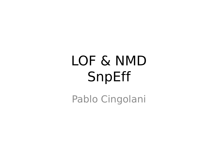# LOF & NMD SnpEff

Pablo Cingolani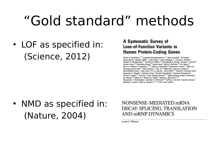### "Gold standard" methods

• LOF as specified in: (Science, 2012)

#### **A Systematic Survey of Loss-of-Function Variants in Human Protein-Coding Genes**

Daniel G. MacArthur, $^{1,2*}$  Suganthi Balasubramanian, $^{3,4}$  Adam Frankish, $^1$  Ni Huang, $^1$ <br>James Morris, $^2$  Klaudia Walter, $^1$  Luke Jostins, $^1$  Lukas Habegger, $^{3,4}$  Joseph K. Pickrell, $^5$ <br>Stephen B. Montgomery,Matthew E. Hurles,<sup>1</sup> Mark B. Gerstein,<sup>3,4,21</sup>† Chris Tyler-Smith<sup>1</sup>†

• NMD as specified in: (Nature, 2004)

NONSENSE-MEDIATED mRNA DECAY: SPLICING, TRANSLATION AND mRNP DYNAMICS

Lynne E. Maguat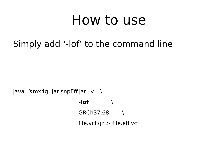#### How to use

Simply add '-lof' to the command line

java –Xmx4g -jar snpEff.jar –v  $\setminus$ **-lof** \ GRCh37.68 \  $file.vcf.gz > file.eff.vcf$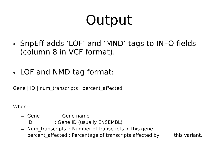## Output

- SnpEff adds 'LOF' and 'MND' tags to INFO fields (column 8 in VCF format).
- LOF and NMD tag format:

Gene | ID | num\_transcripts | percent\_affected

Where:

- Gene : Gene name
- ID : Gene ID (usually ENSEMBL)
- Num\_transcripts : Number of transcripts in this gene
- percent affected : Percentage of transcripts affected by this variant.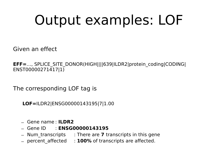## Output examples: LOF

Given an effect

**EFF=**…, SPLICE\_SITE\_DONOR(HIGH||||639|ILDR2|protein\_coding|CODING| ENST00000271417|1)

The corresponding LOF tag is

**LOF=**ILDR2|ENSG00000143195|7|1.00

- Gene name : **ILDR2**
- Gene ID : **ENSG00000143195**
- Num\_transcripts : There are **7** transcripts in this gene
- percent\_affected : **100%** of transcripts are affected.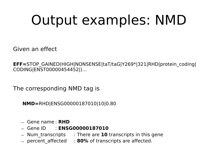## Output examples: NMD

Given an effect

**EFF=**STOP\_GAINED(HIGH|NONSENSE|taT/taG|Y269\*|321|RHD|protein\_coding| CODING|ENST00000454452|)…

The corresponding NMD tag is

**NMD=**RHD|ENSG00000187010|10|0.80

- Gene name : **RHD**
- Gene ID : **ENSG00000187010**
- Num\_transcripts : There are **10** transcripts in this gene
- percent\_affected : **80%** of transcripts are affected.